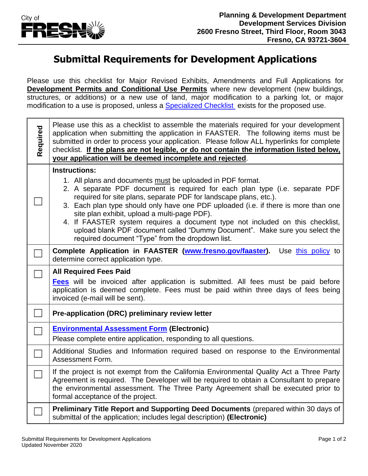

## **Submittal Requirements for Development Applications**

Please use this checklist for Major Revised Exhibits, Amendments and Full Applications for **Development Permits and Conditional Use Permits** where new development (new buildings, structures, or additions) or a new use of land, major modification to a parking lot, or major modification to a use is proposed, unless a **Specialized Checklist** exists for the proposed use.

| Required | Please use this as a checklist to assemble the materials required for your development<br>application when submitting the application in FAASTER. The following items must be<br>submitted in order to process your application. Please follow ALL hyperlinks for complete<br>checklist. If the plans are not legible, or do not contain the information listed below,<br>your application will be deemed incomplete and rejected.                                                                                                                                                                 |
|----------|----------------------------------------------------------------------------------------------------------------------------------------------------------------------------------------------------------------------------------------------------------------------------------------------------------------------------------------------------------------------------------------------------------------------------------------------------------------------------------------------------------------------------------------------------------------------------------------------------|
|          | <b>Instructions:</b><br>1. All plans and documents must be uploaded in PDF format.<br>2. A separate PDF document is required for each plan type (i.e. separate PDF<br>required for site plans, separate PDF for landscape plans, etc.).<br>3. Each plan type should only have one PDF uploaded (i.e. if there is more than one<br>site plan exhibit, upload a multi-page PDF).<br>4. If FAASTER system requires a document type not included on this checklist,<br>upload blank PDF document called "Dummy Document". Make sure you select the<br>required document "Type" from the dropdown list. |
|          | Complete Application in FAASTER (www.fresno.gov/faaster).<br>Use this policy to<br>determine correct application type.                                                                                                                                                                                                                                                                                                                                                                                                                                                                             |
|          | <b>All Required Fees Paid</b><br>Fees will be invoiced after application is submitted. All fees must be paid before<br>application is deemed complete. Fees must be paid within three days of fees being<br>invoiced (e-mail will be sent).                                                                                                                                                                                                                                                                                                                                                        |
|          | Pre-application (DRC) preliminary review letter                                                                                                                                                                                                                                                                                                                                                                                                                                                                                                                                                    |
|          | <b>Environmental Assessment Form (Electronic)</b><br>Please complete entire application, responding to all questions.                                                                                                                                                                                                                                                                                                                                                                                                                                                                              |
|          | Additional Studies and Information required based on response to the Environmental<br>Assessment Form.                                                                                                                                                                                                                                                                                                                                                                                                                                                                                             |
|          | If the project is not exempt from the California Environmental Quality Act a Three Party<br>Agreement is required. The Developer will be required to obtain a Consultant to prepare<br>the environmental assessment. The Three Party Agreement shall be executed prior to<br>formal acceptance of the project.                                                                                                                                                                                                                                                                                     |
|          | Preliminary Title Report and Supporting Deed Documents (prepared within 30 days of<br>submittal of the application; includes legal description) (Electronic)                                                                                                                                                                                                                                                                                                                                                                                                                                       |